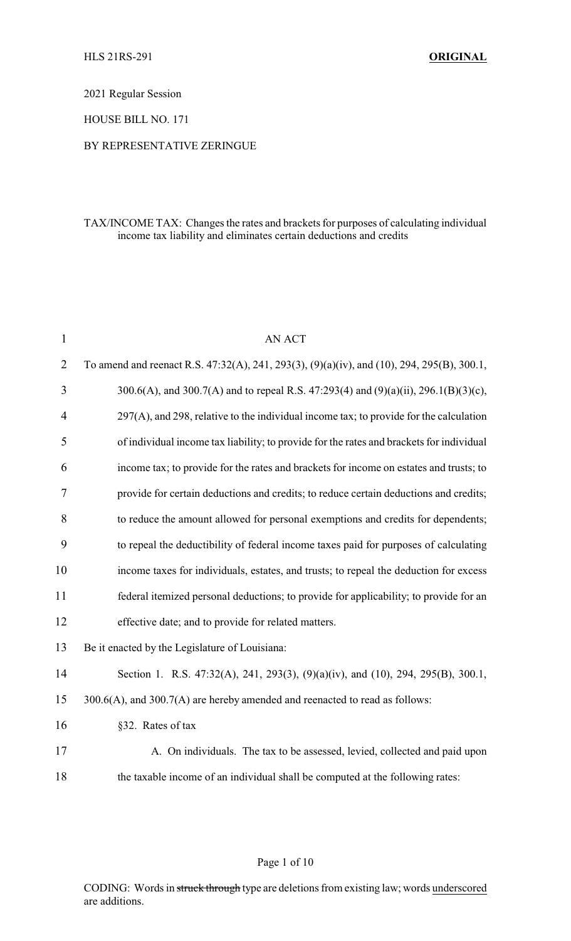2021 Regular Session

HOUSE BILL NO. 171

### BY REPRESENTATIVE ZERINGUE

## TAX/INCOME TAX: Changes the rates and brackets for purposes of calculating individual income tax liability and eliminates certain deductions and credits

| $\mathbf{1}$   | <b>AN ACT</b>                                                                                |
|----------------|----------------------------------------------------------------------------------------------|
| $\overline{2}$ | To amend and reenact R.S. 47:32(A), 241, 293(3), (9)(a)(iv), and (10), 294, 295(B), 300.1,   |
| 3              | 300.6(A), and 300.7(A) and to repeal R.S. 47:293(4) and (9)(a)(ii), 296.1(B)(3)(c),          |
| $\overline{4}$ | $297(A)$ , and $298$ , relative to the individual income tax; to provide for the calculation |
| 5              | of individual income tax liability; to provide for the rates and brackets for individual     |
| 6              | income tax; to provide for the rates and brackets for income on estates and trusts; to       |
| 7              | provide for certain deductions and credits; to reduce certain deductions and credits;        |
| 8              | to reduce the amount allowed for personal exemptions and credits for dependents;             |
| 9              | to repeal the deductibility of federal income taxes paid for purposes of calculating         |
| 10             | income taxes for individuals, estates, and trusts; to repeal the deduction for excess        |
| 11             | federal itemized personal deductions; to provide for applicability; to provide for an        |
| 12             | effective date; and to provide for related matters.                                          |
| 13             | Be it enacted by the Legislature of Louisiana:                                               |
| 14             | Section 1. R.S. 47:32(A), 241, 293(3), (9)(a)(iv), and (10), 294, 295(B), 300.1,             |
| 15             | 300.6(A), and 300.7(A) are hereby amended and reenacted to read as follows:                  |
| 16             | §32. Rates of tax                                                                            |
| 17             | A. On individuals. The tax to be assessed, levied, collected and paid upon                   |
| 18             | the taxable income of an individual shall be computed at the following rates:                |
|                |                                                                                              |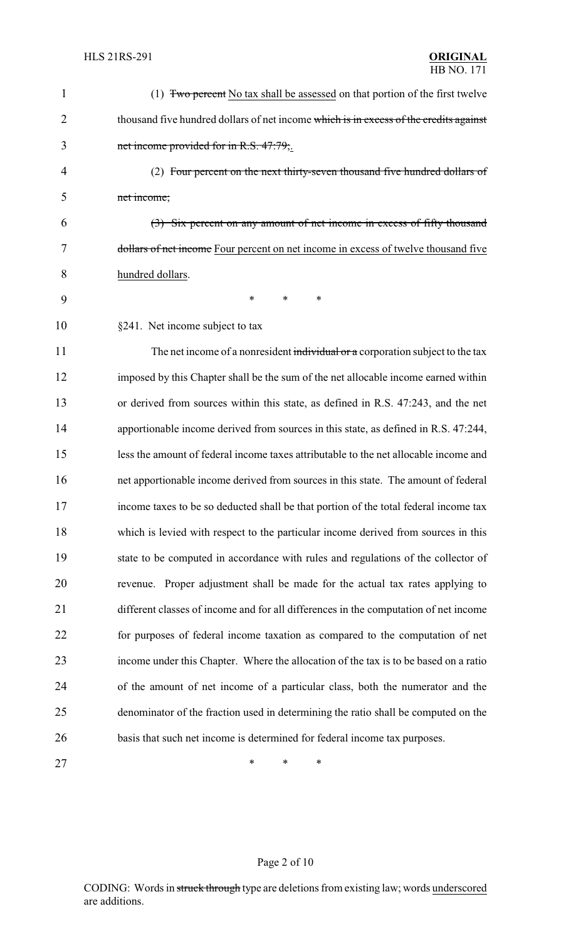| 1  | (1) Two percent No tax shall be assessed on that portion of the first twelve          |
|----|---------------------------------------------------------------------------------------|
| 2  | thousand five hundred dollars of net income which is in excess of the credits against |
| 3  | net income provided for in R.S. 47:79;                                                |
| 4  | (2) Four percent on the next thirty-seven thousand five hundred dollars of            |
| 5  | net income;                                                                           |
| 6  | (3) Six percent on any amount of net income in excess of fifty thousand               |
| 7  | dollars of net income Four percent on net income in excess of twelve thousand five    |
| 8  | hundred dollars.                                                                      |
| 9  | $\ast$<br>$\ast$<br>$\ast$                                                            |
| 10 | §241. Net income subject to tax                                                       |
| 11 | The net income of a nonresident individual or a corporation subject to the tax        |
| 12 | imposed by this Chapter shall be the sum of the net allocable income earned within    |
| 13 | or derived from sources within this state, as defined in R.S. 47:243, and the net     |
| 14 | apportionable income derived from sources in this state, as defined in R.S. 47:244,   |
| 15 | less the amount of federal income taxes attributable to the net allocable income and  |
| 16 | net apportionable income derived from sources in this state. The amount of federal    |
| 17 | income taxes to be so deducted shall be that portion of the total federal income tax  |
| 18 | which is levied with respect to the particular income derived from sources in this    |
| 19 | state to be computed in accordance with rules and regulations of the collector of     |
| 20 | Proper adjustment shall be made for the actual tax rates applying to<br>revenue.      |
| 21 | different classes of income and for all differences in the computation of net income  |
| 22 | for purposes of federal income taxation as compared to the computation of net         |
| 23 | income under this Chapter. Where the allocation of the tax is to be based on a ratio  |
| 24 | of the amount of net income of a particular class, both the numerator and the         |
| 25 | denominator of the fraction used in determining the ratio shall be computed on the    |
| 26 | basis that such net income is determined for federal income tax purposes.             |
| 27 | ∗<br>*<br>∗                                                                           |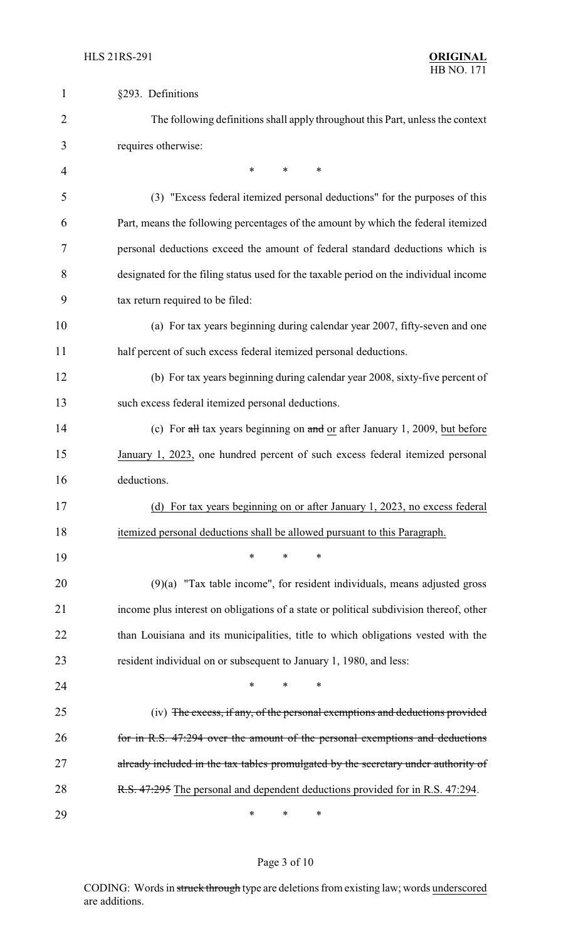| $\mathbf{1}$   | §293. Definitions                                                                               |
|----------------|-------------------------------------------------------------------------------------------------|
| $\overline{2}$ | The following definitions shall apply throughout this Part, unless the context                  |
| 3              | requires otherwise:                                                                             |
| 4              | ∗<br>*<br>∗                                                                                     |
| 5              | (3) "Excess federal itemized personal deductions" for the purposes of this                      |
| 6              | Part, means the following percentages of the amount by which the federal itemized               |
| 7              | personal deductions exceed the amount of federal standard deductions which is                   |
| 8              | designated for the filing status used for the taxable period on the individual income           |
| 9              | tax return required to be filed:                                                                |
| 10             | (a) For tax years beginning during calendar year 2007, fifty-seven and one                      |
| 11             | half percent of such excess federal itemized personal deductions.                               |
| 12             | (b) For tax years beginning during calendar year 2008, sixty-five percent of                    |
| 13             | such excess federal itemized personal deductions.                                               |
| 14             | (c) For $\frac{1}{2}$ tax years beginning on $\frac{1}{2}$ or after January 1, 2009, but before |
| 15             | January 1, 2023, one hundred percent of such excess federal itemized personal                   |
| 16             | deductions.                                                                                     |
| 17             | (d) For tax years beginning on or after January 1, 2023, no excess federal                      |
| 18             | itemized personal deductions shall be allowed pursuant to this Paragraph.                       |
| 19             | *<br>$\ast$<br>*                                                                                |
| 20             | $(9)(a)$ "Tax table income", for resident individuals, means adjusted gross                     |
| 21             | income plus interest on obligations of a state or political subdivision thereof, other          |
| 22             | than Louisiana and its municipalities, title to which obligations vested with the               |
| 23             | resident individual on or subsequent to January 1, 1980, and less:                              |
| 24             | *<br>*<br>∗                                                                                     |
| 25             | (iv) The excess, if any, of the personal exemptions and deductions provided                     |
| 26             | for in R.S. 47:294 over the amount of the personal exemptions and deductions                    |
| 27             | already included in the tax tables promulgated by the secretary under authority of              |
| 28             | R.S. 47:295 The personal and dependent deductions provided for in R.S. 47:294.                  |
| 29             | ∗<br>∗<br>$\ast$                                                                                |

# Page 3 of 10

CODING: Words in struck through type are deletions from existing law; words underscored are additions.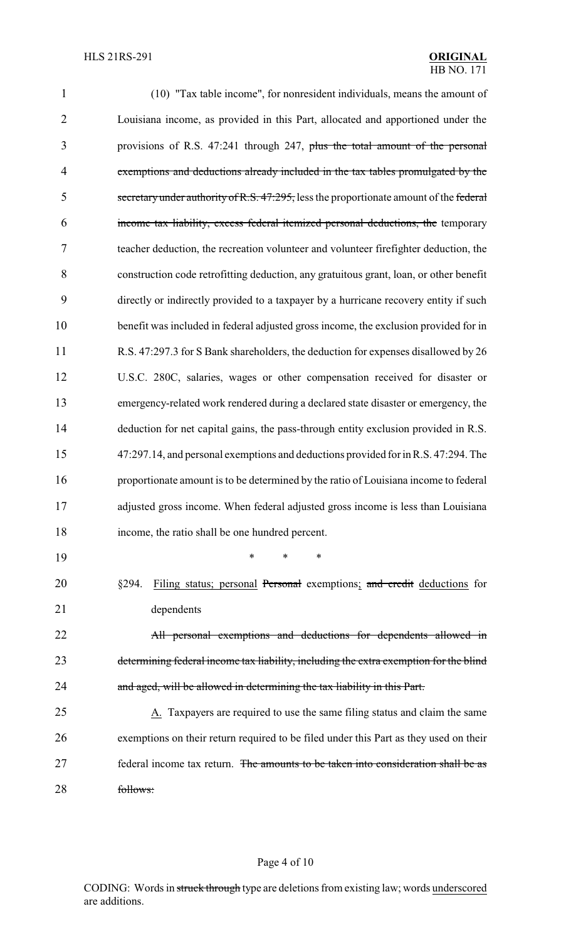| $\mathbf{1}$   | (10) "Tax table income", for nonresident individuals, means the amount of              |
|----------------|----------------------------------------------------------------------------------------|
| $\overline{2}$ | Louisiana income, as provided in this Part, allocated and apportioned under the        |
| 3              | provisions of R.S. 47:241 through 247, plus the total amount of the personal           |
| $\overline{4}$ | exemptions and deductions already included in the tax tables promulgated by the        |
| 5              | secretary under authority of R.S. 47:295, less the proportionate amount of the federal |
| 6              | income tax liability, excess federal itemized personal deductions, the temporary       |
| 7              | teacher deduction, the recreation volunteer and volunteer firefighter deduction, the   |
| 8              | construction code retrofitting deduction, any gratuitous grant, loan, or other benefit |
| 9              | directly or indirectly provided to a taxpayer by a hurricane recovery entity if such   |
| 10             | benefit was included in federal adjusted gross income, the exclusion provided for in   |
| 11             | R.S. 47:297.3 for S Bank shareholders, the deduction for expenses disallowed by 26     |
| 12             | U.S.C. 280C, salaries, wages or other compensation received for disaster or            |
| 13             | emergency-related work rendered during a declared state disaster or emergency, the     |
| 14             | deduction for net capital gains, the pass-through entity exclusion provided in R.S.    |
| 15             | 47:297.14, and personal exemptions and deductions provided for in R.S. 47:294. The     |
| 16             | proportionate amount is to be determined by the ratio of Louisiana income to federal   |
| 17             | adjusted gross income. When federal adjusted gross income is less than Louisiana       |
| 18             | income, the ratio shall be one hundred percent.                                        |
| 19             | *<br>*<br>*                                                                            |
| 20             | Filing status; personal Personal exemptions; and credit deductions for<br>§294.        |
| 21             | dependents                                                                             |
| 22             | All personal exemptions and deductions for dependents allowed in                       |
| 23             | determining federal income tax liability, including the extra exemption for the blind  |
| 24             | and aged, will be allowed in determining the tax liability in this Part.               |
| 25             | A. Taxpayers are required to use the same filing status and claim the same             |
| 26             | exemptions on their return required to be filed under this Part as they used on their  |
| 27             | federal income tax return. The amounts to be taken into consideration shall be as      |
| 28             | follows:                                                                               |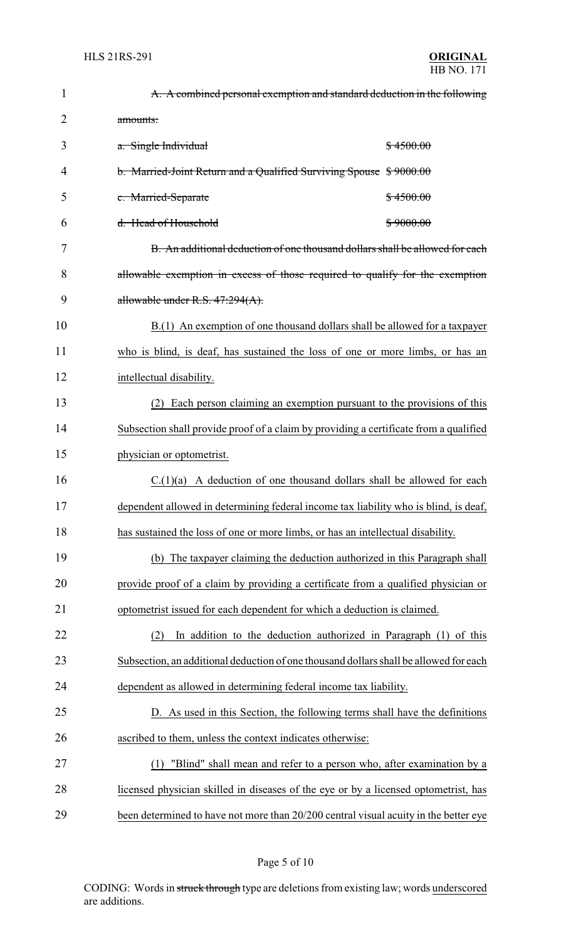| $\mathbf{1}$   | A. A combined personal exemption and standard deduction in the following              |
|----------------|---------------------------------------------------------------------------------------|
| $\overline{2}$ | amounts:                                                                              |
| 3              | \$4500.00<br>a. Single Individual                                                     |
| 4              | b. Married-Joint Return and a Qualified Surviving Spouse \$9000.00                    |
| 5              | c. Married-Separate<br>\$4500.00                                                      |
| 6              | d. Head of Household<br>\$9000.00                                                     |
| 7              | B. An additional deduction of one thousand dollars shall be allowed for each          |
| 8              | allowable exemption in excess of those required to qualify for the exemption          |
| 9              | allowable under R.S. 47:294(A).                                                       |
| 10             | B.(1) An exemption of one thousand dollars shall be allowed for a taxpayer            |
| 11             | who is blind, is deaf, has sustained the loss of one or more limbs, or has an         |
| 12             | intellectual disability.                                                              |
| 13             | Each person claiming an exemption pursuant to the provisions of this<br>(2)           |
| 14             | Subsection shall provide proof of a claim by providing a certificate from a qualified |
| 15             | physician or optometrist.                                                             |
| 16             | $C.(1)(a)$ A deduction of one thousand dollars shall be allowed for each              |
| 17             | dependent allowed in determining federal income tax liability who is blind, is deaf,  |
| 18             | has sustained the loss of one or more limbs, or has an intellectual disability.       |
| 19             | (b) The taxpayer claiming the deduction authorized in this Paragraph shall            |
| 20             | provide proof of a claim by providing a certificate from a qualified physician or     |
| 21             | optometrist issued for each dependent for which a deduction is claimed.               |
| 22             | In addition to the deduction authorized in Paragraph (1) of this<br>(2)               |
| 23             | Subsection, an additional deduction of one thousand dollars shall be allowed for each |
| 24             | dependent as allowed in determining federal income tax liability.                     |
| 25             | D. As used in this Section, the following terms shall have the definitions            |
| 26             | ascribed to them, unless the context indicates otherwise:                             |
| 27             | "Blind" shall mean and refer to a person who, after examination by a<br>(1)           |
| 28             | licensed physician skilled in diseases of the eye or by a licensed optometrist, has   |
| 29             | been determined to have not more than 20/200 central visual acuity in the better eye  |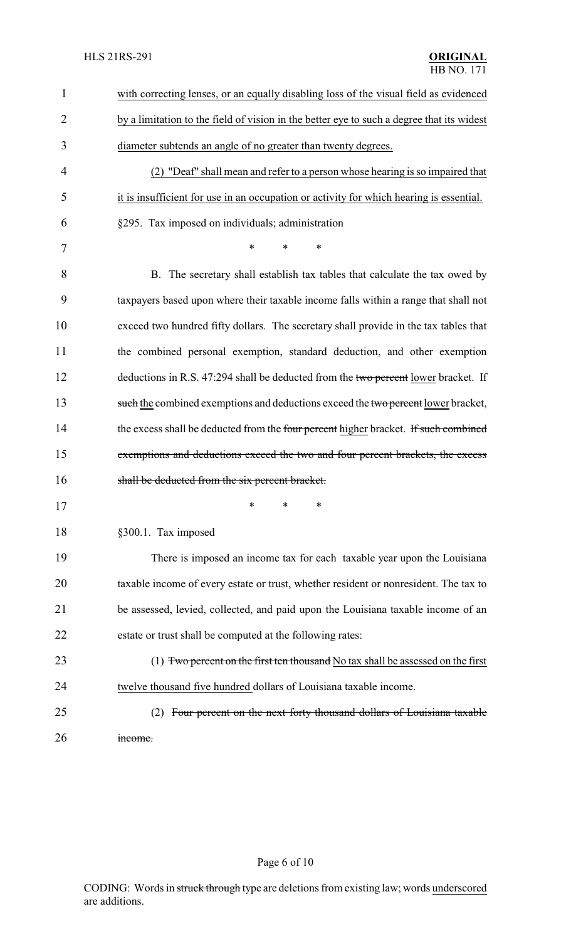| $\mathbf{1}$   | with correcting lenses, or an equally disabling loss of the visual field as evidenced     |
|----------------|-------------------------------------------------------------------------------------------|
| $\overline{2}$ | by a limitation to the field of vision in the better eye to such a degree that its widest |
| 3              | diameter subtends an angle of no greater than twenty degrees.                             |
| 4              | (2) "Deaf" shall mean and refer to a person whose hearing is so impaired that             |
| 5              | it is insufficient for use in an occupation or activity for which hearing is essential.   |
| 6              | §295. Tax imposed on individuals; administration                                          |
| 7              | *<br>*<br>$\ast$                                                                          |
| 8              | B. The secretary shall establish tax tables that calculate the tax owed by                |
| 9              | taxpayers based upon where their taxable income falls within a range that shall not       |
| 10             | exceed two hundred fifty dollars. The secretary shall provide in the tax tables that      |
| 11             | the combined personal exemption, standard deduction, and other exemption                  |
| 12             | deductions in R.S. 47:294 shall be deducted from the two percent lower bracket. If        |
| 13             | such the combined exemptions and deductions exceed the two percent lower bracket,         |
| 14             | the excess shall be deducted from the four percent higher bracket. If such combined       |
| 15             | exemptions and deductions exceed the two and four percent brackets, the excess            |
| 16             | shall be deducted from the six percent bracket.                                           |
| 17             | ∗<br>∗<br>∗                                                                               |
| 18             | §300.1. Tax imposed                                                                       |
| 19             | There is imposed an income tax for each taxable year upon the Louisiana                   |
| 20             | taxable income of every estate or trust, whether resident or nonresident. The tax to      |
| 21             | be assessed, levied, collected, and paid upon the Louisiana taxable income of an          |
| 22             | estate or trust shall be computed at the following rates:                                 |
| 23             | $(1)$ Two percent on the first ten thousand No tax shall be assessed on the first         |
| 24             | twelve thousand five hundred dollars of Louisiana taxable income.                         |
| 25             | Four percent on the next forty thousand dollars of Louisiana taxable<br>(2)               |
| 26             | income.                                                                                   |

# Page 6 of 10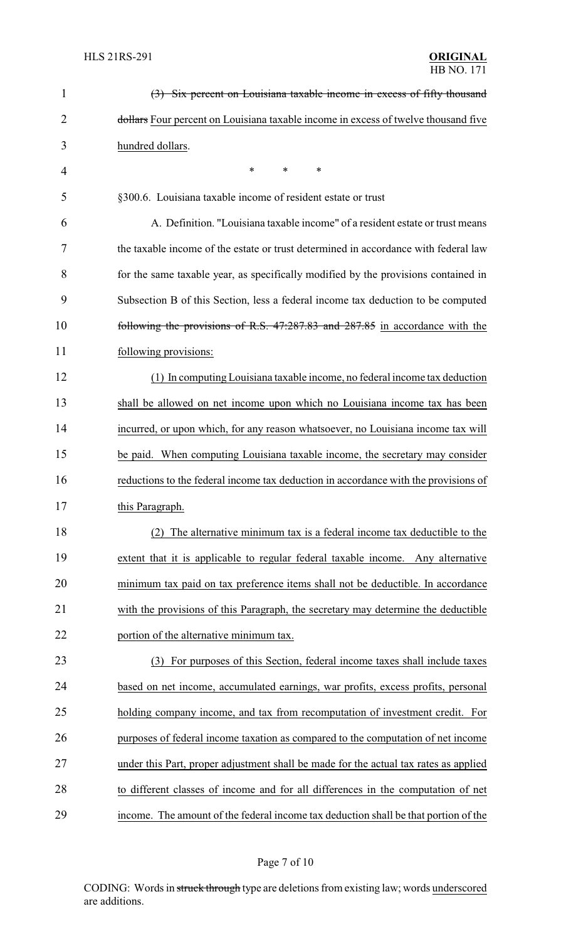| $\mathbf{1}$ | (3) Six percent on Louisiana taxable income in excess of fifty thousand              |
|--------------|--------------------------------------------------------------------------------------|
| 2            | dollars Four percent on Louisiana taxable income in excess of twelve thousand five   |
| 3            | hundred dollars.                                                                     |
| 4            | *<br>*<br>∗                                                                          |
| 5            | §300.6. Louisiana taxable income of resident estate or trust                         |
| 6            | A. Definition. "Louisiana taxable income" of a resident estate or trust means        |
| 7            | the taxable income of the estate or trust determined in accordance with federal law  |
| 8            | for the same taxable year, as specifically modified by the provisions contained in   |
| 9            | Subsection B of this Section, less a federal income tax deduction to be computed     |
| 10           | following the provisions of R.S. 47:287.83 and 287.85 in accordance with the         |
| 11           | following provisions:                                                                |
| 12           | (1) In computing Louisiana taxable income, no federal income tax deduction           |
| 13           | shall be allowed on net income upon which no Louisiana income tax has been           |
| 14           | incurred, or upon which, for any reason whatsoever, no Louisiana income tax will     |
| 15           | be paid. When computing Louisiana taxable income, the secretary may consider         |
| 16           | reductions to the federal income tax deduction in accordance with the provisions of  |
| 17           | this Paragraph.                                                                      |
| 18           | The alternative minimum tax is a federal income tax deductible to the<br>(2)         |
| 19           | extent that it is applicable to regular federal taxable income. Any alternative      |
| 20           | minimum tax paid on tax preference items shall not be deductible. In accordance      |
| 21           | with the provisions of this Paragraph, the secretary may determine the deductible    |
| 22           | portion of the alternative minimum tax.                                              |
| 23           | (3) For purposes of this Section, federal income taxes shall include taxes           |
| 24           | based on net income, accumulated earnings, war profits, excess profits, personal     |
| 25           | holding company income, and tax from recomputation of investment credit. For         |
| 26           | purposes of federal income taxation as compared to the computation of net income     |
| 27           | under this Part, proper adjustment shall be made for the actual tax rates as applied |
| 28           | to different classes of income and for all differences in the computation of net     |
| 29           | income. The amount of the federal income tax deduction shall be that portion of the  |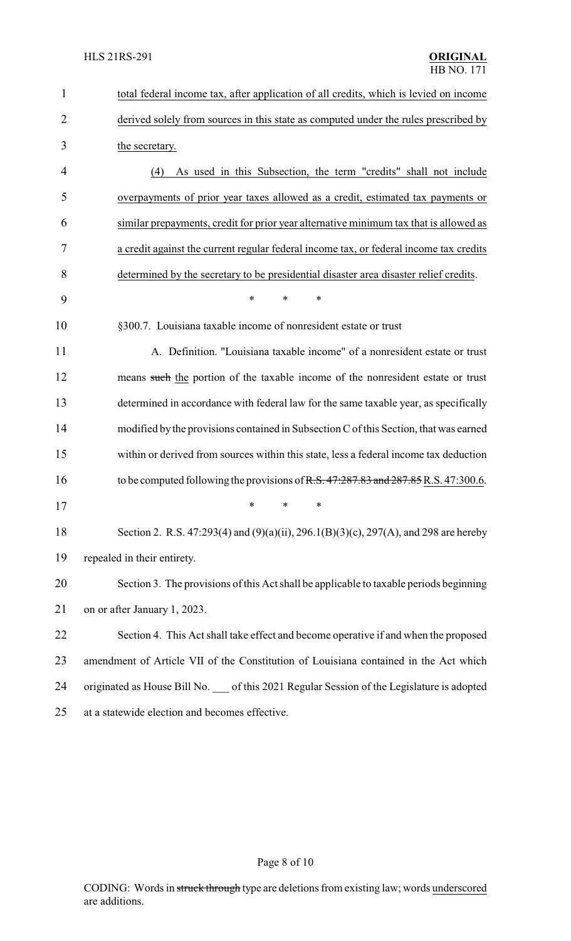| $\mathbf{1}$   | total federal income tax, after application of all credits, which is levied on income                                                                                          |
|----------------|--------------------------------------------------------------------------------------------------------------------------------------------------------------------------------|
| $\overline{2}$ | derived solely from sources in this state as computed under the rules prescribed by                                                                                            |
| 3              | the secretary.                                                                                                                                                                 |
| 4              | As used in this Subsection, the term "credits" shall not include<br>(4)                                                                                                        |
| 5              | overpayments of prior year taxes allowed as a credit, estimated tax payments or                                                                                                |
| 6              | similar prepayments, credit for prior year alternative minimum tax that is allowed as                                                                                          |
| 7              | a credit against the current regular federal income tax, or federal income tax credits                                                                                         |
| 8              | determined by the secretary to be presidential disaster area disaster relief credits.                                                                                          |
| 9              | $\ast$<br>$\ast$<br>$\ast$                                                                                                                                                     |
| 10             | §300.7. Louisiana taxable income of nonresident estate or trust                                                                                                                |
| 11             | A. Definition. "Louisiana taxable income" of a nonresident estate or trust                                                                                                     |
| 12             | means such the portion of the taxable income of the nonresident estate or trust                                                                                                |
| 13             | determined in accordance with federal law for the same taxable year, as specifically                                                                                           |
| 14             | modified by the provisions contained in Subsection C of this Section, that was earned                                                                                          |
| 15             | within or derived from sources within this state, less a federal income tax deduction                                                                                          |
| 16             | to be computed following the provisions of R.S. 47:287.83 and 287.85 R.S. 47:300.6.                                                                                            |
| 17             | $\overline{\phantom{a}}$ $\overline{\phantom{a}}$ $\overline{\phantom{a}}$ $\overline{\phantom{a}}$ $\overline{\phantom{a}}$ $\overline{\phantom{a}}$ $\overline{\phantom{a}}$ |
| 18             | Section 2. R.S. 47:293(4) and (9)(a)(ii), 296.1(B)(3)(c), 297(A), and 298 are hereby                                                                                           |
| 19             | repealed in their entirety.                                                                                                                                                    |
| 20             | Section 3. The provisions of this Act shall be applicable to taxable periods beginning                                                                                         |
| 21             | on or after January 1, 2023.                                                                                                                                                   |
| 22             | Section 4. This Act shall take effect and become operative if and when the proposed                                                                                            |
| 23             | amendment of Article VII of the Constitution of Louisiana contained in the Act which                                                                                           |
| 24             | originated as House Bill No. __ of this 2021 Regular Session of the Legislature is adopted                                                                                     |
| 25             | at a statewide election and becomes effective.                                                                                                                                 |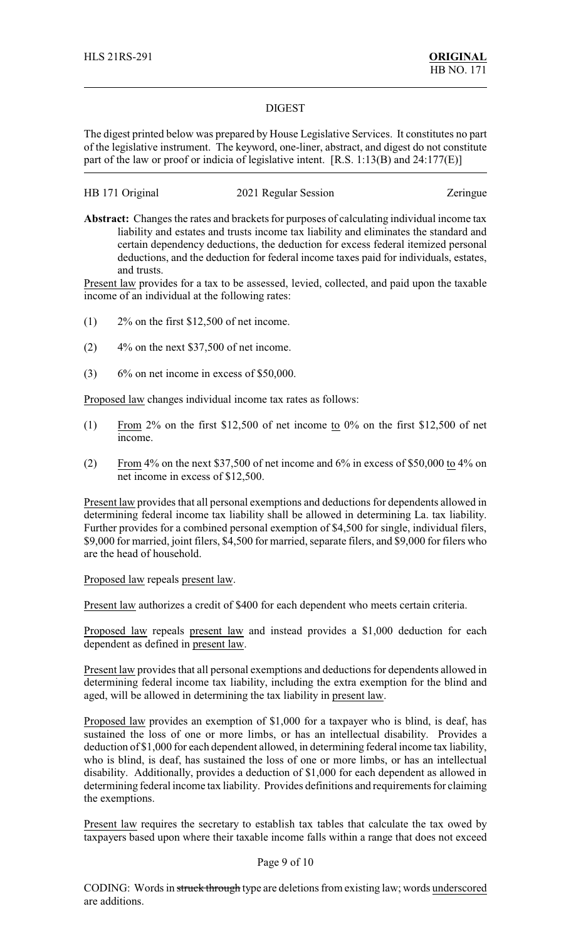### DIGEST

The digest printed below was prepared by House Legislative Services. It constitutes no part of the legislative instrument. The keyword, one-liner, abstract, and digest do not constitute part of the law or proof or indicia of legislative intent. [R.S. 1:13(B) and 24:177(E)]

### HB 171 Original 2021 Regular Session Zeringue

**Abstract:** Changes the rates and brackets for purposes of calculating individual income tax liability and estates and trusts income tax liability and eliminates the standard and certain dependency deductions, the deduction for excess federal itemized personal deductions, and the deduction for federal income taxes paid for individuals, estates, and trusts.

Present law provides for a tax to be assessed, levied, collected, and paid upon the taxable income of an individual at the following rates:

- (1) 2% on the first \$12,500 of net income.
- $(2)$  4% on the next \$37,500 of net income.
- $(3)$  6% on net income in excess of \$50,000.

Proposed law changes individual income tax rates as follows:

- (1) From 2% on the first \$12,500 of net income to 0% on the first \$12,500 of net income.
- (2) From 4% on the next \$37,500 of net income and 6% in excess of \$50,000 to 4% on net income in excess of \$12,500.

Present law provides that all personal exemptions and deductions for dependents allowed in determining federal income tax liability shall be allowed in determining La. tax liability. Further provides for a combined personal exemption of \$4,500 for single, individual filers, \$9,000 for married, joint filers, \$4,500 for married, separate filers, and \$9,000 for filers who are the head of household.

### Proposed law repeals present law.

Present law authorizes a credit of \$400 for each dependent who meets certain criteria.

Proposed law repeals present law and instead provides a \$1,000 deduction for each dependent as defined in present law.

Present law provides that all personal exemptions and deductions for dependents allowed in determining federal income tax liability, including the extra exemption for the blind and aged, will be allowed in determining the tax liability in present law.

Proposed law provides an exemption of \$1,000 for a taxpayer who is blind, is deaf, has sustained the loss of one or more limbs, or has an intellectual disability. Provides a deduction of \$1,000 for each dependent allowed, in determining federal income tax liability, who is blind, is deaf, has sustained the loss of one or more limbs, or has an intellectual disability. Additionally, provides a deduction of \$1,000 for each dependent as allowed in determining federal income tax liability. Provides definitions and requirements for claiming the exemptions.

Present law requires the secretary to establish tax tables that calculate the tax owed by taxpayers based upon where their taxable income falls within a range that does not exceed

### Page 9 of 10

CODING: Words in struck through type are deletions from existing law; words underscored are additions.